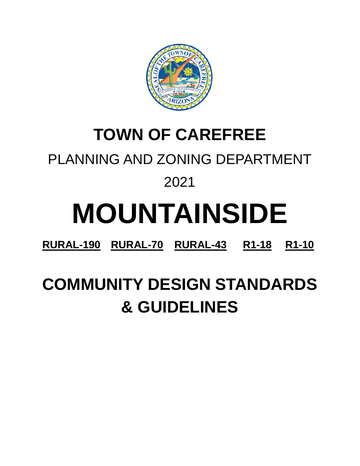

## **TOWN OF CAREFREE**

### PLANNING AND ZONING DEPARTMENT

### 2021

# **MOUNTAINSIDE**

**RURAL-190 RURAL-70 RURAL-43 R1-18 R1-10**

# **COMMUNITY DESIGN STANDARDS & GUIDELINES**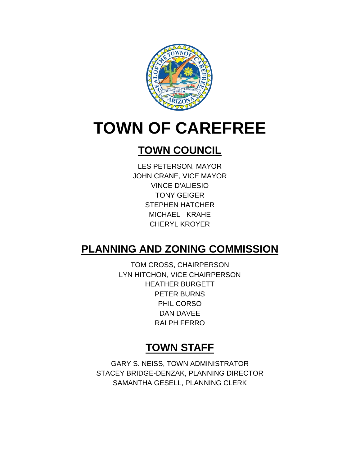

# **TOWN OF CAREFREE**

### **TOWN COUNCIL**

LES PETERSON, MAYOR JOHN CRANE, VICE MAYOR VINCE D'ALIESIO TONY GEIGER STEPHEN HATCHER MICHAEL KRAHE CHERYL KROYER

### **PLANNING AND ZONING COMMISSION**

TOM CROSS, CHAIRPERSON LYN HITCHON, VICE CHAIRPERSON HEATHER BURGETT PETER BURNS PHIL CORSO DAN DAVEE RALPH FERRO

### **TOWN STAFF**

GARY S. NEISS, TOWN ADMINISTRATOR STACEY BRIDGE-DENZAK, PLANNING DIRECTOR SAMANTHA GESELL, PLANNING CLERK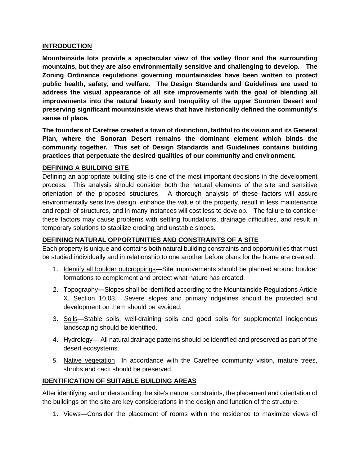#### **INTRODUCTION**

**Mountainside lots provide a spectacular view of the valley floor and the surrounding mountains, but they are also environmentally sensitive and challenging to develop. The Zoning Ordinance regulations governing mountainsides have been written to protect public health, safety, and welfare. The Design Standards and Guidelines are used to address the visual appearance of all site improvements with the goal of blending all improvements into the natural beauty and tranquility of the upper Sonoran Desert and preserving significant mountainside views that have historically defined the community's sense of place.**

**The founders of Carefree created a town of distinction, faithful to its vision and its General Plan, where the Sonoran Desert remains the dominant element which binds the community together. This set of Design Standards and Guidelines contains building practices that perpetuate the desired qualities of our community and environment.**

#### **DEFINING A BUILDING SITE**

Defining an appropriate building site is one of the most important decisions in the development process. This analysis should consider both the natural elements of the site and sensitive orientation of the proposed structures. A thorough analysis of these factors will assure environmentally sensitive design, enhance the value of the property, result in less maintenance and repair of structures, and in many instances will cost less to develop. The failure to consider these factors may cause problems with settling foundations, drainage difficulties, and result in temporary solutions to stabilize eroding and unstable slopes.

#### **DEFINING NATURAL OPPORTUNITIES AND CONSTRAINTS OF A SITE**

Each property is unique and contains both natural building constraints and opportunities that must be studied individually and in relationship to one another before plans for the home are created.

- 1. Identify all boulder outcroppings**—**Site improvements should be planned around boulder formations to complement and protect what nature has created.
- 2. Topography**—**Slopes shall be identified according to the Mountainside Regulations Article X, Section 10.03. Severe slopes and primary ridgelines should be protected and development on them should be avoided.
- 3. Soils**—**Stable soils, well-draining soils and good soils for supplemental indigenous landscaping should be identified.
- 4. Hydrology— All natural drainage patterns should be identified and preserved as part of the desert ecosystems.
- 5. Native vegetation—In accordance with the Carefree community vision, mature trees, shrubs and cacti should be preserved.

#### **IDENTIFICATION OF SUITABLE BUILDING AREAS**

After identifying and understanding the site's natural constraints, the placement and orientation of the buildings on the site are key considerations in the design and function of the structure.

1. Views-Consider the placement of rooms within the residence to maximize views of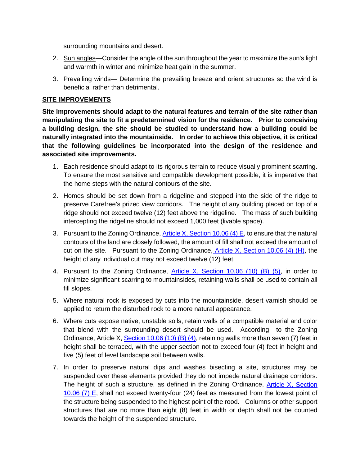surrounding mountains and desert.

- 2. Sun angles—Consider the angle of the sun throughout the year to maximize the sun's light and warmth in winter and minimize heat gain in the summer.
- 3. Prevailing winds— Determine the prevailing breeze and orient structures so the wind is beneficial rather than detrimental.

#### **SITE IMPROVEMENTS**

**Site improvements should adapt to the natural features and terrain of the site rather than manipulating the site to fit a predetermined vision for the residence. Prior to conceiving a building design, the site should be studied to understand how a building could be naturally integrated into the mountainside. In order to achieve this objective, it is critical that the following guidelines be incorporated into the design of the residence and associated site improvements.**

- 1. Each residence should adapt to its rigorous terrain to reduce visually prominent scarring. To ensure the most sensitive and compatible development possible, it is imperative that the home steps with the natural contours of the site.
- 2. Homes should be set down from a ridgeline and stepped into the side of the ridge to preserve Carefree's prized view corridors. The height of any building placed on top of a ridge should not exceed twelve (12) feet above the ridgeline. The mass of such building intercepting the ridgeline should not exceed 1,000 feet (livable space).
- 3. Pursuant to the Zoning Ordinance, [Article X, Section 10.06 \(4\) E,](https://www.carefree.org/DocumentCenter/View/3107/Town-of-Carefree-Zoning-Ordinance-Effective-1-3-2019-Final) to ensure that the natural contours of the land are closely followed, the amount of fill shall not exceed the amount of cut on the site. Pursuant to the Zoning Ordinance, Article X, Section 10.06  $(4)$  (H), the height of any individual cut may not exceed twelve (12) feet.
- 4. Pursuant to the Zoning Ordinance, [Article X. Section 10.06 \(10\) \(B\) \(5\),](https://www.carefree.org/DocumentCenter/View/3107/Town-of-Carefree-Zoning-Ordinance-Effective-1-3-2019-Final) in order to minimize significant scarring to mountainsides, retaining walls shall be used to contain all fill slopes.
- 5. Where natural rock is exposed by cuts into the mountainside, desert varnish should be applied to return the disturbed rock to a more natural appearance.
- 6. Where cuts expose native, unstable soils, retain walls of a compatible material and color that blend with the surrounding desert should be used. According to the Zoning Ordinance, Article X[, Section 10.06 \(10\) \(B\) \(4\),](https://www.carefree.org/DocumentCenter/View/3107/Town-of-Carefree-Zoning-Ordinance-Effective-1-3-2019-Final) retaining walls more than seven (7) feet in height shall be terraced, with the upper section not to exceed four (4) feet in height and five (5) feet of level landscape soil between walls.
- 7. In order to preserve natural dips and washes bisecting a site, structures may be suspended over these elements provided they do not impede natural drainage corridors. The height of such a structure, as defined in the Zoning Ordinance, [Article X, Section](https://www.carefree.org/DocumentCenter/View/3107/Town-of-Carefree-Zoning-Ordinance-Effective-1-3-2019-Final)  [10.06 \(7\) E,](https://www.carefree.org/DocumentCenter/View/3107/Town-of-Carefree-Zoning-Ordinance-Effective-1-3-2019-Final) shall not exceed twenty-four (24) feet as measured from the lowest point of the structure being suspended to the highest point of the rood. Columns or other support structures that are no more than eight (8) feet in width or depth shall not be counted towards the height of the suspended structure.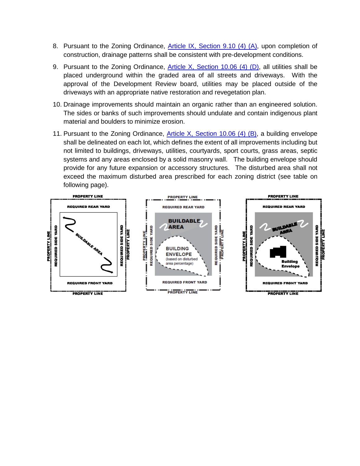- 8. Pursuant to the Zoning Ordinance, [Article IX, Section 9.10 \(4\) \(A\),](https://www.carefree.org/DocumentCenter/View/3107/Town-of-Carefree-Zoning-Ordinance-Effective-1-3-2019-Final) upon completion of construction, drainage patterns shall be consistent with pre-development conditions.
- 9. Pursuant to the Zoning Ordinance, [Article X, Section 10.06 \(4\) \(D\),](https://www.carefree.org/DocumentCenter/View/3107/Town-of-Carefree-Zoning-Ordinance-Effective-1-3-2019-Final) all utilities shall be placed underground within the graded area of all streets and driveways. With the approval of the Development Review board, utilities may be placed outside of the driveways with an appropriate native restoration and revegetation plan.
- 10. Drainage improvements should maintain an organic rather than an engineered solution. The sides or banks of such improvements should undulate and contain indigenous plant material and boulders to minimize erosion.
- 11. Pursuant to the Zoning Ordinance, [Article X, Section 10.06 \(4\) \(B\),](https://www.carefree.org/DocumentCenter/View/3107/Town-of-Carefree-Zoning-Ordinance-Effective-1-3-2019-Final) a building envelope shall be delineated on each lot, which defines the extent of all improvements including but not limited to buildings, driveways, utilities, courtyards, sport courts, grass areas, septic systems and any areas enclosed by a solid masonry wall. The building envelope should provide for any future expansion or accessory structures. The disturbed area shall not exceed the maximum disturbed area prescribed for each zoning district (see table on following page).

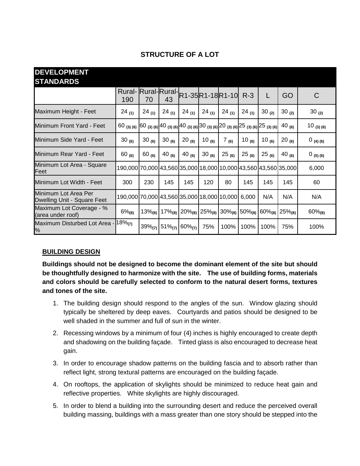| <b>DEVELOPMENT</b><br><b>STANDARDS</b>              |                                                                                                                                                                                    |              |            |                           |                                        |            |            |            |                                                     |               |
|-----------------------------------------------------|------------------------------------------------------------------------------------------------------------------------------------------------------------------------------------|--------------|------------|---------------------------|----------------------------------------|------------|------------|------------|-----------------------------------------------------|---------------|
|                                                     | <b>Rural-</b> Rural-Rural-<br>190                                                                                                                                                  | 70           | 43         |                           | R1-35 R1-18 R1-10                      |            | $R-3$      | L          | GO.                                                 | C             |
| Maximum Height - Feet                               | $24_{(1)}$                                                                                                                                                                         | $24_{(1)}$   | $24_{(1)}$ | $24_{(1)}$                | $24_{(1)}$                             | $24_{(1)}$ | $24_{(1)}$ | 30 $(2)$   | $30_{(2)}$                                          | 30 $(2)$      |
| Minimum Front Yard - Feet                           | 60 (3) (6) $\Big 60 \Big $ (3) (6) $\Big 40 \Big $ (3) (6) $\Big 40 \Big $ (3) (6) $\Big 30 \Big $ (3) (6) $\Big 20 \Big $ (3) (6) $\Big 25 \Big $ (3) (6) $\Big 25 \Big $ (3) (6) |              |            |                           |                                        |            |            |            | 40 $_{(6)}$                                         | $10_{(3)(6)}$ |
| Minimum Side Yard - Feet                            | 30(6)                                                                                                                                                                              | 30(6)        | 30 $(6)$   | $20_{(6)}$                | 10 $_{(6)}$                            | 7(6)       | 10 $(6)$   | 10 (6)     | $20_{(6)}$                                          | $0$ (4) (6)   |
| Minimum Rear Yard - Feet                            | $60_{(6)}$                                                                                                                                                                         | $60_{(6)}$   | 40 $(6)$   | 40 $(6)$                  | 30(6)                                  | $25_{(6)}$ | $25_{(6)}$ | $25_{(6)}$ | 40 $(6)$                                            | 0(5)(6)       |
| Minimum Lot Area - Square<br>Feet                   | 190,000 70,000 43,560 35,000 18,000 10,000 43,560 43,560 35,000                                                                                                                    |              |            |                           |                                        |            |            |            |                                                     | 6,000         |
| Minimum Lot Width - Feet                            | 300                                                                                                                                                                                | 230          | 145        | 145                       | 120                                    | 80         | 145        | 145        | 145                                                 | 60            |
| Minimum Lot Area Per<br>Dwelling Unit - Square Feet | 190,000 70,000 43,560 35,000 18,000 10,000                                                                                                                                         |              |            |                           |                                        |            | 6,000      | N/A        | N/A                                                 | N/A           |
| Maximum Lot Coverage - %<br>(area under roof)       | $6\%_{(8)}$                                                                                                                                                                        | $13\%_{(8)}$ |            |                           | $17\%_{(8)}$ 20% $_{(8)}$ 25% $_{(8)}$ |            |            |            | $30\%_{(8)}$ 50% $_{(8)}$ 60% $_{(8)}$ 25% $_{(8)}$ | $60\%_{(8)}$  |
| Maximum Disturbed Lot Area -<br>%                   | $18\%_{(7)}$                                                                                                                                                                       | $39\%_{(7)}$ |            | $51\%_{(7)}$ 60% $_{(7)}$ | 75%                                    | 100%       | 100%       | 100%       | 75%                                                 | 100%          |

#### **STRUCTURE OF A LOT**

#### **BUILDING DESIGN**

**Buildings should not be designed to become the dominant element of the site but should be thoughtfully designed to harmonize with the site. The use of building forms, materials and colors should be carefully selected to conform to the natural desert forms, textures and tones of the site.**

- 1. The building design should respond to the angles of the sun. Window glazing should typically be sheltered by deep eaves. Courtyards and patios should be designed to be well shaded in the summer and full of sun in the winter.
- 2. Recessing windows by a minimum of four (4) inches is highly encouraged to create depth and shadowing on the building façade. Tinted glass is also encouraged to decrease heat gain.
- 3. In order to encourage shadow patterns on the building fascia and to absorb rather than reflect light, strong textural patterns are encouraged on the building façade.
- 4. On rooftops, the application of skylights should be minimized to reduce heat gain and reflective properties. White skylights are highly discouraged.
- 5. In order to blend a building into the surrounding desert and reduce the perceived overall building massing, buildings with a mass greater than one story should be stepped into the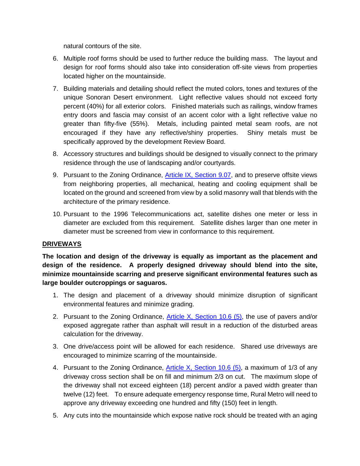natural contours of the site.

- 6. Multiple roof forms should be used to further reduce the building mass. The layout and design for roof forms should also take into consideration off-site views from properties located higher on the mountainside.
- 7. Building materials and detailing should reflect the muted colors, tones and textures of the unique Sonoran Desert environment. Light reflective values should not exceed forty percent (40%) for all exterior colors. Finished materials such as railings, window frames entry doors and fascia may consist of an accent color with a light reflective value no greater than fifty-five (55%). Metals, including painted metal seam roofs, are not encouraged if they have any reflective/shiny properties. Shiny metals must be specifically approved by the development Review Board.
- 8. Accessory structures and buildings should be designed to visually connect to the primary residence through the use of landscaping and/or courtyards.
- 9. Pursuant to the Zoning Ordinance, [Article IX, Section 9.07,](https://www.carefree.org/DocumentCenter/View/3107/Town-of-Carefree-Zoning-Ordinance-Effective-1-3-2019-Final) and to preserve offsite views from neighboring properties, all mechanical, heating and cooling equipment shall be located on the ground and screened from view by a solid masonry wall that blends with the architecture of the primary residence.
- 10. Pursuant to the 1996 Telecommunications act, satellite dishes one meter or less in diameter are excluded from this requirement. Satellite dishes larger than one meter in diameter must be screened from view in conformance to this requirement.

#### **DRIVEWAYS**

**The location and design of the driveway is equally as important as the placement and design of the residence. A properly designed driveway should blend into the site, minimize mountainside scarring and preserve significant environmental features such as large boulder outcroppings or saguaros.**

- 1. The design and placement of a driveway should minimize disruption of significant environmental features and minimize grading.
- 2. Pursuant to the Zoning Ordinance, [Article X, Section 10.6 \(5\),](https://www.carefree.org/DocumentCenter/View/3107/Town-of-Carefree-Zoning-Ordinance-Effective-1-3-2019-Final) the use of pavers and/or exposed aggregate rather than asphalt will result in a reduction of the disturbed areas calculation for the driveway.
- 3. One drive/access point will be allowed for each residence. Shared use driveways are encouraged to minimize scarring of the mountainside.
- 4. Pursuant to the Zoning Ordinance, [Article X, Section 10.6 \(5\),](https://www.carefree.org/DocumentCenter/View/3107/Town-of-Carefree-Zoning-Ordinance-Effective-1-3-2019-Final) a maximum of 1/3 of any driveway cross section shall be on fill and minimum 2/3 on cut. The maximum slope of the driveway shall not exceed eighteen (18) percent and/or a paved width greater than twelve (12) feet. To ensure adequate emergency response time, Rural Metro will need to approve any driveway exceeding one hundred and fifty (150) feet in length.
- 5. Any cuts into the mountainside which expose native rock should be treated with an aging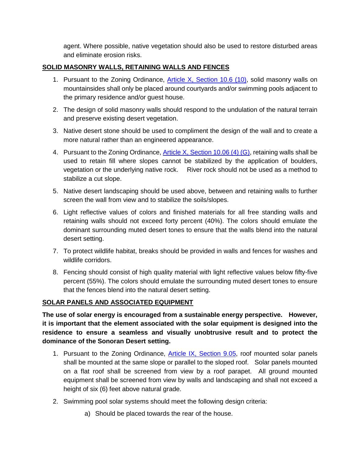agent. Where possible, native vegetation should also be used to restore disturbed areas and eliminate erosion risks.

#### **SOLID MASONRY WALLS, RETAINING WALLS AND FENCES**

- 1. Pursuant to the Zoning Ordinance, [Article X, Section 10.6 \(10\),](https://www.carefree.org/DocumentCenter/View/3107/Town-of-Carefree-Zoning-Ordinance-Effective-1-3-2019-Final) solid masonry walls on mountainsides shall only be placed around courtyards and/or swimming pools adjacent to the primary residence and/or guest house.
- 2. The design of solid masonry walls should respond to the undulation of the natural terrain and preserve existing desert vegetation.
- 3. Native desert stone should be used to compliment the design of the wall and to create a more natural rather than an engineered appearance.
- 4. Pursuant to the Zoning Ordinance, **Article X, Section 10.06 (4) (G)**, retaining walls shall be used to retain fill where slopes cannot be stabilized by the application of boulders, vegetation or the underlying native rock. River rock should not be used as a method to stabilize a cut slope.
- 5. Native desert landscaping should be used above, between and retaining walls to further screen the wall from view and to stabilize the soils/slopes.
- 6. Light reflective values of colors and finished materials for all free standing walls and retaining walls should not exceed forty percent (40%). The colors should emulate the dominant surrounding muted desert tones to ensure that the walls blend into the natural desert setting.
- 7. To protect wildlife habitat, breaks should be provided in walls and fences for washes and wildlife corridors.
- 8. Fencing should consist of high quality material with light reflective values below fifty-five percent (55%). The colors should emulate the surrounding muted desert tones to ensure that the fences blend into the natural desert setting.

#### **SOLAR PANELS AND ASSOCIATED EQUIPMENT**

**The use of solar energy is encouraged from a sustainable energy perspective. However, it is important that the element associated with the solar equipment is designed into the residence to ensure a seamless and visually unobtrusive result and to protect the dominance of the Sonoran Desert setting.**

- 1. Pursuant to the Zoning Ordinance, [Article IX, Section 9.05,](https://www.carefree.org/DocumentCenter/View/3107/Town-of-Carefree-Zoning-Ordinance-Effective-1-3-2019-Final) roof mounted solar panels shall be mounted at the same slope or parallel to the sloped roof. Solar panels mounted on a flat roof shall be screened from view by a roof parapet. All ground mounted equipment shall be screened from view by walls and landscaping and shall not exceed a height of six (6) feet above natural grade.
- 2. Swimming pool solar systems should meet the following design criteria:
	- a) Should be placed towards the rear of the house.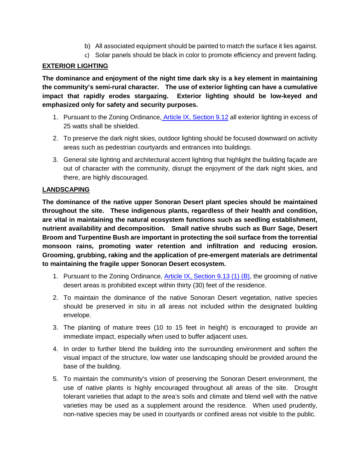- b) All associated equipment should be painted to match the surface it lies against.
- c) Solar panels should be black in color to promote efficiency and prevent fading.

#### **EXTERIOR LIGHTING**

**The dominance and enjoyment of the night time dark sky is a key element in maintaining the community's semi-rural character. The use of exterior lighting can have a cumulative impact that rapidly erodes stargazing. Exterior lighting should be low-keyed and emphasized only for safety and security purposes.**

- 1. Pursuant to the Zoning Ordinance, [Article IX, Section 9.12](https://www.carefree.org/DocumentCenter/View/3107/Town-of-Carefree-Zoning-Ordinance-Effective-1-3-2019-Final) all exterior lighting in excess of 25 watts shall be shielded.
- 2. To preserve the dark night skies, outdoor lighting should be focused downward on activity areas such as pedestrian courtyards and entrances into buildings.
- 3. General site lighting and architectural accent lighting that highlight the building façade are out of character with the community, disrupt the enjoyment of the dark night skies, and there, are highly discouraged.

#### **LANDSCAPING**

**The dominance of the native upper Sonoran Desert plant species should be maintained throughout the site. These indigenous plants, regardless of their health and condition, are vital in maintaining the natural ecosystem functions such as seedling establishment, nutrient availability and decomposition. Small native shrubs such as Burr Sage, Desert Broom and Turpentine Bush are important in protecting the soil surface from the torrential monsoon rains, promoting water retention and infiltration and reducing erosion. Grooming, grubbing, raking and the application of pre-emergent materials are detrimental to maintaining the fragile upper Sonoran Desert ecosystem.**

- 1. Pursuant to the Zoning Ordinance, [Article IX, Section 9.13 \(1\) \(B\),](https://www.carefree.org/DocumentCenter/View/3107/Town-of-Carefree-Zoning-Ordinance-Effective-1-3-2019-Final) the grooming of native desert areas is prohibited except within thirty (30) feet of the residence.
- 2. To maintain the dominance of the native Sonoran Desert vegetation, native species should be preserved in situ in all areas not included within the designated building envelope.
- 3. The planting of mature trees (10 to 15 feet in height) is encouraged to provide an immediate impact, especially when used to buffer adjacent uses.
- 4. In order to further blend the building into the surrounding environment and soften the visual impact of the structure, low water use landscaping should be provided around the base of the building.
- 5. To maintain the community's vision of preserving the Sonoran Desert environment, the use of native plants is highly encouraged throughout all areas of the site. Drought tolerant varieties that adapt to the area's soils and climate and blend well with the native varieties may be used as a supplement around the residence. When used prudently, non-native species may be used in courtyards or confined areas not visible to the public.